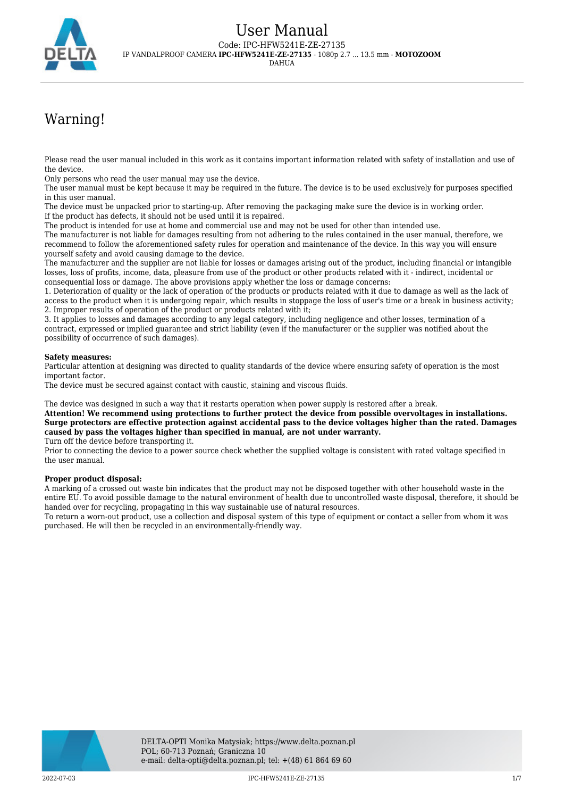

# Warning!

Please read the user manual included in this work as it contains important information related with safety of installation and use of the device.

Only persons who read the user manual may use the device.

The user manual must be kept because it may be required in the future. The device is to be used exclusively for purposes specified in this user manual.

The device must be unpacked prior to starting-up. After removing the packaging make sure the device is in working order. If the product has defects, it should not be used until it is repaired.

The product is intended for use at home and commercial use and may not be used for other than intended use.

The manufacturer is not liable for damages resulting from not adhering to the rules contained in the user manual, therefore, we recommend to follow the aforementioned safety rules for operation and maintenance of the device. In this way you will ensure yourself safety and avoid causing damage to the device.

The manufacturer and the supplier are not liable for losses or damages arising out of the product, including financial or intangible losses, loss of profits, income, data, pleasure from use of the product or other products related with it - indirect, incidental or consequential loss or damage. The above provisions apply whether the loss or damage concerns:

1. Deterioration of quality or the lack of operation of the products or products related with it due to damage as well as the lack of access to the product when it is undergoing repair, which results in stoppage the loss of user's time or a break in business activity; 2. Improper results of operation of the product or products related with it;

3. It applies to losses and damages according to any legal category, including negligence and other losses, termination of a contract, expressed or implied guarantee and strict liability (even if the manufacturer or the supplier was notified about the possibility of occurrence of such damages).

#### **Safety measures:**

Particular attention at designing was directed to quality standards of the device where ensuring safety of operation is the most important factor.

The device must be secured against contact with caustic, staining and viscous fluids.

The device was designed in such a way that it restarts operation when power supply is restored after a break.

**Attention! We recommend using protections to further protect the device from possible overvoltages in installations. Surge protectors are effective protection against accidental pass to the device voltages higher than the rated. Damages caused by pass the voltages higher than specified in manual, are not under warranty.**

Turn off the device before transporting it.

Prior to connecting the device to a power source check whether the supplied voltage is consistent with rated voltage specified in the user manual.

#### **Proper product disposal:**

A marking of a crossed out waste bin indicates that the product may not be disposed together with other household waste in the entire EU. To avoid possible damage to the natural environment of health due to uncontrolled waste disposal, therefore, it should be handed over for recycling, propagating in this way sustainable use of natural resources.

To return a worn-out product, use a collection and disposal system of this type of equipment or contact a seller from whom it was purchased. He will then be recycled in an environmentally-friendly way.

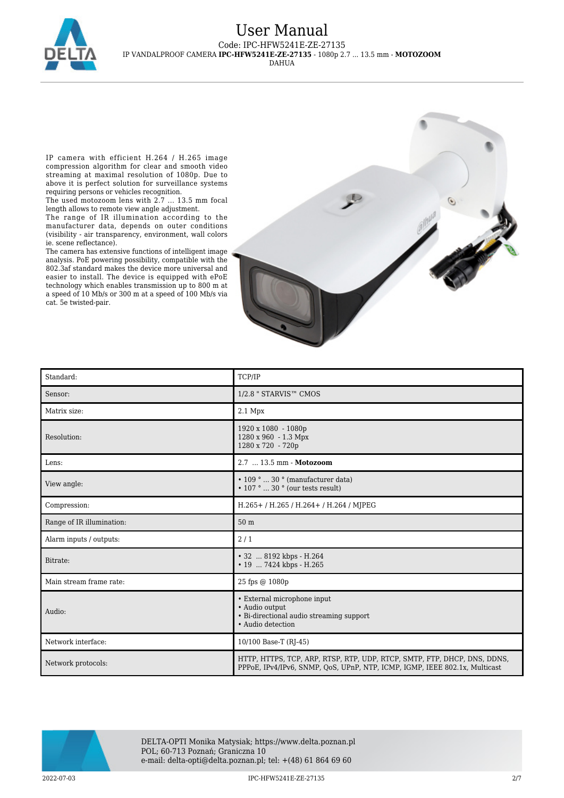

IP camera with efficient H.264 / H.265 image compression algorithm for clear and smooth video streaming at maximal resolution of 1080p. Due to above it is perfect solution for surveillance systems requiring persons or vehicles recognition.

The used motozoom lens with 2.7 ... 13.5 mm focal length allows to remote view angle adjustment.

The range of IR illumination according to the manufacturer data, depends on outer conditions (visibility - air transparency, environment, wall colors ie. scene reflectance).

The camera has extensive functions of intelligent image analysis. PoE powering possibility, compatible with the 802.3af standard makes the device more universal and easier to install. The device is equipped with ePoE technology which enables transmission up to 800 m at a speed of 10 Mb/s or 300 m at a speed of 100 Mb/s via cat. 5e twisted-pair.



| Standard:                 | TCP/IP                                                                                                                                                 |
|---------------------------|--------------------------------------------------------------------------------------------------------------------------------------------------------|
| Sensor:                   | 1/2.8 " STARVIS™ CMOS                                                                                                                                  |
| Matrix size:              | $2.1$ Mpx                                                                                                                                              |
| Resolution:               | 1920 x 1080 - 1080p<br>1280 x 960 - 1.3 Mpx<br>1280 x 720 - 720p                                                                                       |
| Lens:                     | 2.7  13.5 mm - Motozoom                                                                                                                                |
| View angle:               | $\cdot$ 109 °  30 ° (manufacturer data)<br>$\cdot$ 107 °  30 ° (our tests result)                                                                      |
| Compression:              | H.265+/H.265/H.264+/H.264/MJPEG                                                                                                                        |
| Range of IR illumination: | 50 <sub>m</sub>                                                                                                                                        |
| Alarm inputs / outputs:   | 2/1                                                                                                                                                    |
| Bitrate:                  | • 32  8192 kbps - H.264<br>• 19  7424 kbps - H.265                                                                                                     |
| Main stream frame rate:   | 25 fps @ 1080p                                                                                                                                         |
| Audio:                    | • External microphone input<br>• Audio output<br>• Bi-directional audio streaming support<br>• Audio detection                                         |
| Network interface:        | 10/100 Base-T (RJ-45)                                                                                                                                  |
| Network protocols:        | HTTP, HTTPS, TCP, ARP, RTSP, RTP, UDP, RTCP, SMTP, FTP, DHCP, DNS, DDNS,<br>PPPoE, IPv4/IPv6, SNMP, OoS, UPnP, NTP, ICMP, IGMP, IEEE 802.1x, Multicast |



DELTA-OPTI Monika Matysiak; https://www.delta.poznan.pl POL; 60-713 Poznań; Graniczna 10 e-mail: delta-opti@delta.poznan.pl; tel: +(48) 61 864 69 60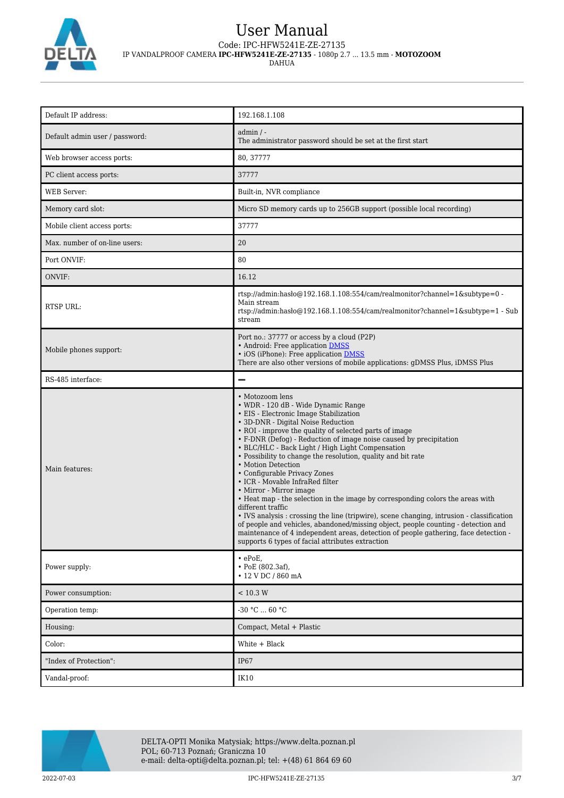

## User Manual Code: IPC-HFW5241E-ZE-27135

IP VANDALPROOF CAMERA **IPC-HFW5241E-ZE-27135** - 1080p 2.7 ... 13.5 mm - **MOTOZOOM**

DAHUA

| Default IP address:            | 192.168.1.108                                                                                                                                                                                                                                                                                                                                                                                                                                                                                                                                                                                                                                                                                                                                                                                                                                                                                                                                      |
|--------------------------------|----------------------------------------------------------------------------------------------------------------------------------------------------------------------------------------------------------------------------------------------------------------------------------------------------------------------------------------------------------------------------------------------------------------------------------------------------------------------------------------------------------------------------------------------------------------------------------------------------------------------------------------------------------------------------------------------------------------------------------------------------------------------------------------------------------------------------------------------------------------------------------------------------------------------------------------------------|
| Default admin user / password: | $admin / -$<br>The administrator password should be set at the first start                                                                                                                                                                                                                                                                                                                                                                                                                                                                                                                                                                                                                                                                                                                                                                                                                                                                         |
| Web browser access ports:      | 80, 37777                                                                                                                                                                                                                                                                                                                                                                                                                                                                                                                                                                                                                                                                                                                                                                                                                                                                                                                                          |
| PC client access ports:        | 37777                                                                                                                                                                                                                                                                                                                                                                                                                                                                                                                                                                                                                                                                                                                                                                                                                                                                                                                                              |
| <b>WEB</b> Server:             | Built-in, NVR compliance                                                                                                                                                                                                                                                                                                                                                                                                                                                                                                                                                                                                                                                                                                                                                                                                                                                                                                                           |
| Memory card slot:              | Micro SD memory cards up to 256GB support (possible local recording)                                                                                                                                                                                                                                                                                                                                                                                                                                                                                                                                                                                                                                                                                                                                                                                                                                                                               |
| Mobile client access ports:    | 37777                                                                                                                                                                                                                                                                                                                                                                                                                                                                                                                                                                                                                                                                                                                                                                                                                                                                                                                                              |
| Max. number of on-line users:  | 20                                                                                                                                                                                                                                                                                                                                                                                                                                                                                                                                                                                                                                                                                                                                                                                                                                                                                                                                                 |
| Port ONVIF:                    | 80                                                                                                                                                                                                                                                                                                                                                                                                                                                                                                                                                                                                                                                                                                                                                                                                                                                                                                                                                 |
| ONVIF:                         | 16.12                                                                                                                                                                                                                                                                                                                                                                                                                                                                                                                                                                                                                                                                                                                                                                                                                                                                                                                                              |
| <b>RTSP URL:</b>               | rtsp://admin:hasło@192.168.1.108:554/cam/realmonitor?channel=1&subtype=0 -<br>Main stream<br>rtsp://admin:haslo $@192.168.1.108.554/cam/realmonitor?channel=1$ &subtype=1 - Sub<br>stream                                                                                                                                                                                                                                                                                                                                                                                                                                                                                                                                                                                                                                                                                                                                                          |
| Mobile phones support:         | Port no.: 37777 or access by a cloud (P2P)<br>• Android: Free application DMSS<br>• iOS (iPhone): Free application DMSS<br>There are also other versions of mobile applications: gDMSS Plus, iDMSS Plus                                                                                                                                                                                                                                                                                                                                                                                                                                                                                                                                                                                                                                                                                                                                            |
| RS-485 interface:              | $\overline{\phantom{0}}$                                                                                                                                                                                                                                                                                                                                                                                                                                                                                                                                                                                                                                                                                                                                                                                                                                                                                                                           |
| Main features:                 | • Motozoom lens<br>• WDR - 120 dB - Wide Dynamic Range<br>• EIS - Electronic Image Stabilization<br>• 3D-DNR - Digital Noise Reduction<br>• ROI - improve the quality of selected parts of image<br>• F-DNR (Defog) - Reduction of image noise caused by precipitation<br>• BLC/HLC - Back Light / High Light Compensation<br>• Possibility to change the resolution, quality and bit rate<br>• Motion Detection<br>• Configurable Privacy Zones<br>• ICR - Movable InfraRed filter<br>• Mirror - Mirror image<br>• Heat map - the selection in the image by corresponding colors the areas with<br>different traffic<br>• IVS analysis : crossing the line (tripwire), scene changing, intrusion - classification<br>of people and vehicles, abandoned/missing object, people counting - detection and<br>maintenance of 4 independent areas, detection of people gathering, face detection -<br>supports 6 types of facial attributes extraction |
| Power supply:                  | $\cdot$ ePoE.<br>• PoE (802.3af),<br>• 12 V DC / 860 mA                                                                                                                                                                                                                                                                                                                                                                                                                                                                                                                                                                                                                                                                                                                                                                                                                                                                                            |
| Power consumption:             | < 10.3 W                                                                                                                                                                                                                                                                                                                                                                                                                                                                                                                                                                                                                                                                                                                                                                                                                                                                                                                                           |
| Operation temp:                | $-30$ °C $\ldots$ 60 °C                                                                                                                                                                                                                                                                                                                                                                                                                                                                                                                                                                                                                                                                                                                                                                                                                                                                                                                            |
| Housing:                       | Compact, Metal + Plastic                                                                                                                                                                                                                                                                                                                                                                                                                                                                                                                                                                                                                                                                                                                                                                                                                                                                                                                           |
| Color:                         | White + Black                                                                                                                                                                                                                                                                                                                                                                                                                                                                                                                                                                                                                                                                                                                                                                                                                                                                                                                                      |
| "Index of Protection":         | <b>IP67</b>                                                                                                                                                                                                                                                                                                                                                                                                                                                                                                                                                                                                                                                                                                                                                                                                                                                                                                                                        |
| Vandal-proof:                  | IK10                                                                                                                                                                                                                                                                                                                                                                                                                                                                                                                                                                                                                                                                                                                                                                                                                                                                                                                                               |

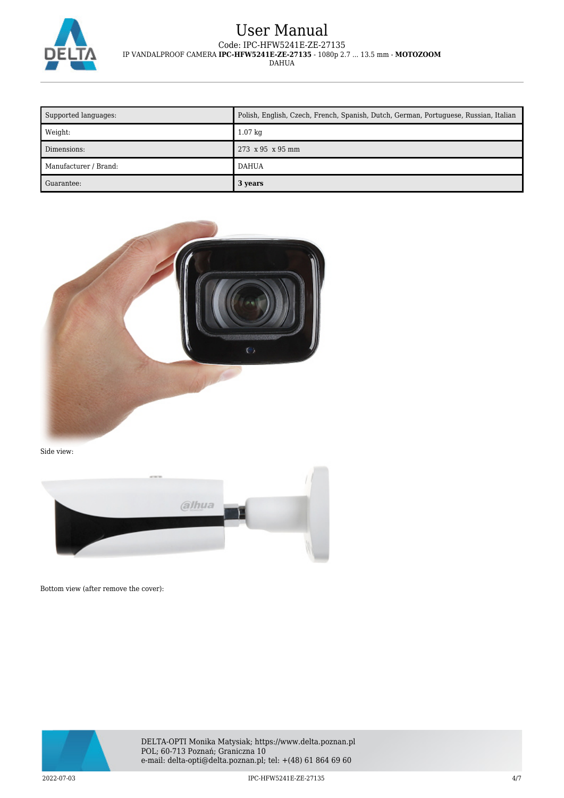

| Supported languages:   | Polish, English, Czech, French, Spanish, Dutch, German, Portuguese, Russian, Italian |
|------------------------|--------------------------------------------------------------------------------------|
| $\blacksquare$ Weight: | $1.07$ kg                                                                            |
| Dimensions:            | 273 x 95 x 95 mm                                                                     |
| Manufacturer / Brand:  | <b>DAHUA</b>                                                                         |
| Guarantee:             | 3 years                                                                              |



Side view:



Bottom view (after remove the cover):



DELTA-OPTI Monika Matysiak; https://www.delta.poznan.pl POL; 60-713 Poznań; Graniczna 10 e-mail: delta-opti@delta.poznan.pl; tel: +(48) 61 864 69 60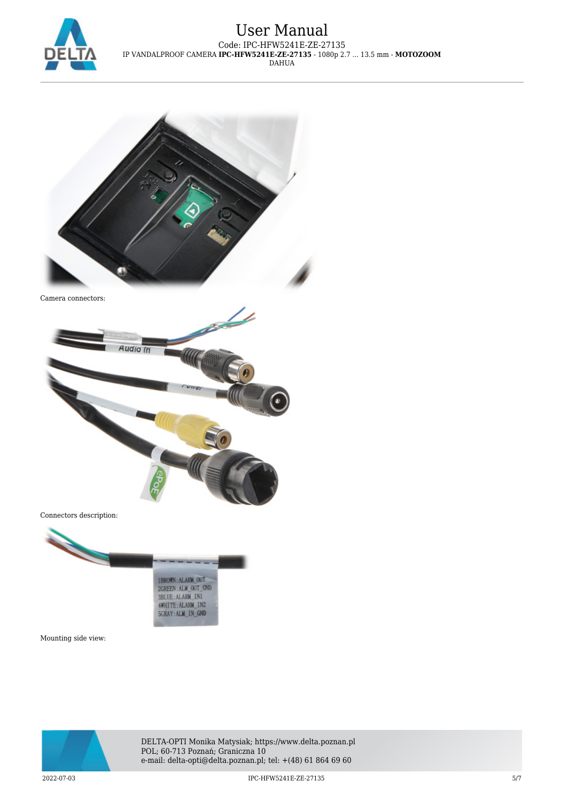



Camera connectors:



Connectors description:



Mounting side view:



DELTA-OPTI Monika Matysiak; https://www.delta.poznan.pl POL; 60-713 Poznań; Graniczna 10 e-mail: delta-opti@delta.poznan.pl; tel: +(48) 61 864 69 60

2022-07-03 IPC-HFW5241E-ZE-27135 5/7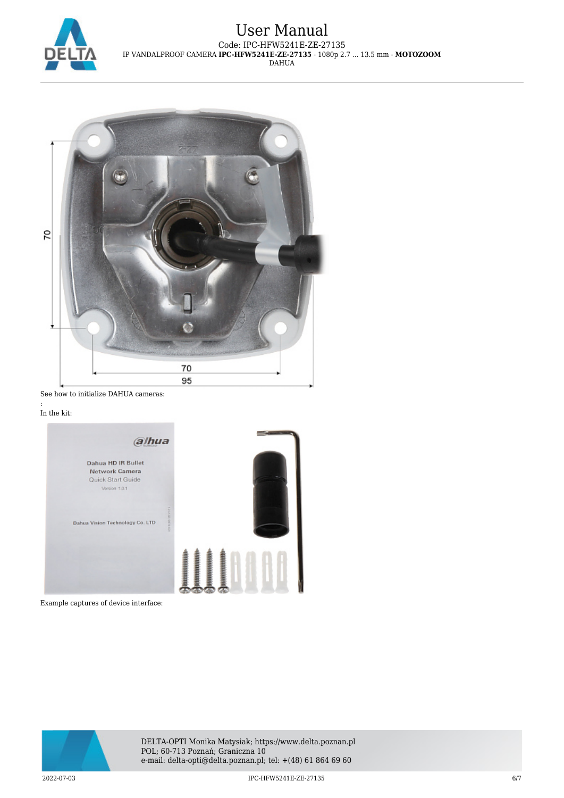



See how to initialize DAHUA cameras:

#### : In the kit:



Example captures of device interface: